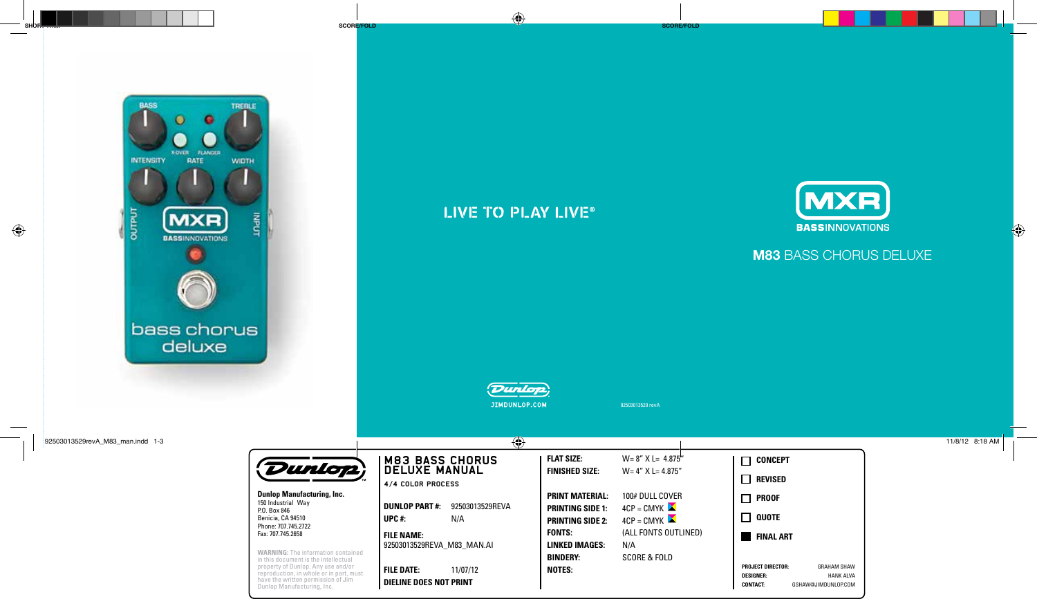

# LIVE TO PLAY LIVE®



# **M83** BASS CHORUS DELUXE



92503013529 revA